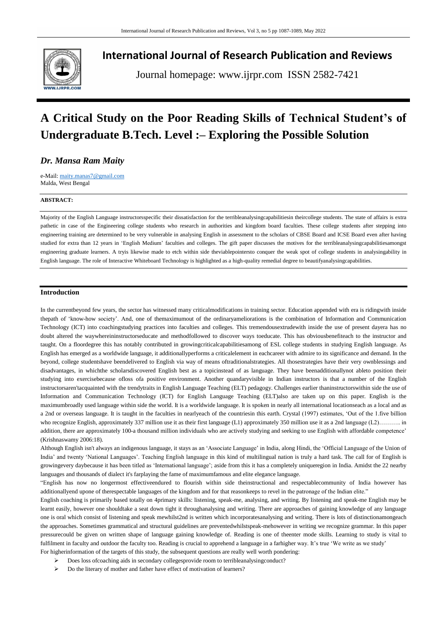

## **International Journal of Research Publication and Reviews**

Journal homepage: www.ijrpr.com ISSN 2582-7421

# **A Critical Study on the Poor Reading Skills of Technical Student's of Undergraduate B.Tech. Level :– Exploring the Possible Solution**

### *Dr. Mansa Ram Maity*

e-Mail[: maity.manas7@gmail.com](mailto:maity.manas7@gmail.com) Malda, West Bengal

#### **ABSTRACT:**

Majority of the English Language instructorsspecific their dissatisfaction for the terribleanalysingcapabilitiesin theircollege students. The state of affairs is extra pathetic in case of the Engineering college students who research in authorities and kingdom board faculties. These college students after stepping into engineering training are determined to be very vulnerable in analysing English in assessment to the scholars of CBSE Board and ICSE Board even after having studied for extra than 12 years in 'English Medium' faculties and colleges. The gift paper discusses the motives for the terribleanalysingcapabilitiesamongst engineering graduate learners. A tryis likewise made to etch within side theviablepointersto conquer the weak spot of college students in analysingability in English language. The role of Interactive Whiteboard Technology is highlighted as a high-quality remedial degree to beautifyanalysingcapabilities.

#### **Introduction**

In the currentbeyond few years, the sector has witnessed many criticalmodifications in training sector. Education appended with era is ridingwith inside thepath of "know-how society". And, one of themaximumout of the ordinaryameliorations is the combination of Information and Communication Technology (ICT) into coachingstudying practices into faculties and colleges. This tremendousextrudewith inside the use of present dayera has no doubt altered the waywhereininstructorseducate and methodfollowed to discover ways toeducate. This has obviousbenefiteach to the instructor and taught. On a floordegree this has notably contributed in growingcriticalcapabilitiesamong of ESL college students in studying English language. As English has emerged as a worldwide language, it additionallyperforms a criticalelement in eachcareer with admire to its significance and demand. In the beyond, college studentshave beendelivered to English via way of means oftraditionalstrategies. All thosestrategies have their very ownblessings and disadvantages, in whichthe scholarsdiscovered English best as a topicinstead of as language. They have beenadditionallynot ableto position their studying into exercisebecause ofloss ofa positive environment. Another quandaryvisible in Indian instructors is that a number of the English instructorsaren'tacquainted with the trendytraits in English Language Teaching (ELT) pedagogy. Challenges earlier thaninstructorswithin side the use of Information and Communication Technology (ICT) for English Language Teaching (ELT)also are taken up on this paper. English is the maximumbroadly used language within side the world. It is a worldwide language. It is spoken in nearly all international locationseach as a local and as a 2nd or overseas language. It is taught in the faculties in nearlyeach of the countriesin this earth. Crystal (1997) estimates, "Out of the 1.five billion who recognize English, approximately 337 million use it as their first language (L1) approximately 350 million use it as a 2nd language (L2)……….. in addition, there are approximately 100-a thousand million individuals who are actively studying and seeking to use English with affordable competence' (Krishnaswamy 2006:18).

Although English isn't always an indigenous language, it stays as an "Associate Language" in India, along Hindi, the "Official Language of the Union of India" and twenty "National Languages". Teaching English language in this kind of multilingual nation is truly a hard task. The call for of English is growingevery daybecause it has been titled as "International language"; aside from this it has a completely uniqueregion in India. Amidst the 22 nearby languages and thousands of dialect it's farplaying the fame of maximumfamous and elite elegance language.

"English has now no longermost effectiveendured to flourish within side theinstructional and respectablecommunity of India however has additionallyend upone of therespectable languages of the kingdom and for that reasonkeeps to revel in the patronage of the Indian elite."

English coaching is primarily based totally on 4primary skills: listening, speak-me, analysing, and writing. By listening and speak-me English may be learnt easily, however one shouldtake a seat down tight it throughanalysing and writing. There are approaches of gaining knowledge of any language one is oral which consist of listening and speak mewhilst2nd is written which incorporatesanalysing and writing. There is lots of distinctionamongeach the approaches. Sometimes grammatical and structural guidelines are preventedwhilstspeak-mehowever in writing we recognize grammar. In this paper pressurecould be given on written shape of language gaining knowledge of. Reading is one of theenter mode skills. Learning to study is vital to fulfilment in faculty and outdoor the faculty too. Reading is crucial to apprehend a language in a farhigher way. It's true 'We write as we study' For higherinformation of the targets of this study, the subsequent questions are really well worth pondering:

- Does loss ofcoaching aids in secondary collegesprovide room to terribleanalysingconduct?
- Do the literary of mother and father have effect of motivation of learners?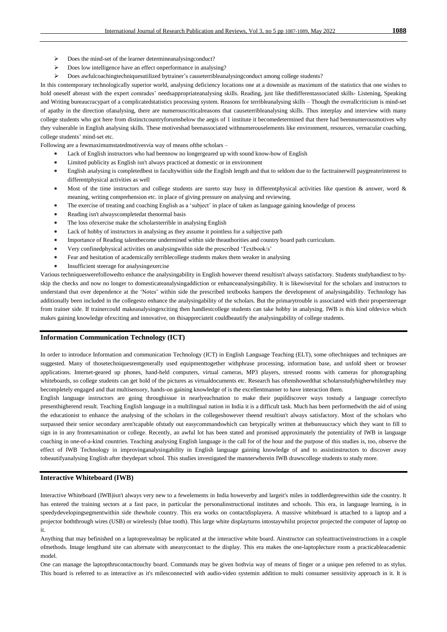- Does the mind-set of the learner determineanalysingconduct?
- Does low intelligence have an effect onperformance in analysing?
- Does awfulcoachingtechniquesutilized bytrainer"s causeterribleanalysingconduct among college students?

In this contemporary technologically superior world, analysing deficiency locations one at a downside as maximum of the statistics that one wishes to hold oneself abreast with the expert comrades" needsappropriateanalysing skills. Reading, just like thedifferentassociated skills- Listening, Speaking and Writing bureaucracypart of a complicatedstatistics processing system. Reasons for terribleanalysing skills – Though the overallcriticism is mind-set of apathy in the direction ofanalysing, there are numerouscriticalreasons that causeterribleanalysing skills. Thus interplay and interview with many college students who got here from distinctcountryforumsbelow the aegis of 1 institute it becomedetermined that there had beennumerousmotives why they vulnerable in English analysing skills. These motiveshad beenassociated withnumerouselements like environment, resources, vernacular coaching, college students" mind-set etc.

Following are a fewmaximumstatedmotivesvia way of means ofthe scholars –

- Lack of English instructors who had beennow no longergeared up with sound know-how of English
- Limited publicity as English isn't always practiced at domestic or in environment
- English analysing is completedbest in facultywithin side the English length and that to seldom due to the facttrainerwill paygreaterinterest to differentphysical activities as well
- Most of the time instructors and college students are sureto stay busy in differentphysical activities like question  $\&$  answer, word  $\&$ meaning, writing comprehension etc. in place of giving pressure on analysing and reviewing.
- The exercise of treating and coaching English as a "subject" in place of taken as language gaining knowledge of process
- Reading isn't alwayscompletedat thenormal basis
- The loss ofexercise make the scholarsterrible in analysing English
- Lack of hobby of instructors in analysing as they assume it pointless for a subjective path
- Importance of Reading talentbecome undermined within side theauthorities and country board path curriculum.
- Very confinedphysical activities on analysingwithin side the prescribed "Textbook/s"
- Fear and hesitation of academically terriblecollege students makes them weaker in analysing
- Insufficient steerage for analysingexercise

Various techniqueswerefollowedto enhance the analysingability in English however theend resultisn't always satisfactory. Students studyhandiest to byskip the checks and now no longer to domesticateanalysingaddiction or enhanceanalysingability. It is likewisevital for the scholars and instructors to understand that over dependence at the "Notes" within side the prescribed textbooks hampers the development of analysingability. Technology has additionally been included in the collegesto enhance the analysingability of the scholars. But the primarytrouble is associated with their propersteerage from trainer side. If trainercould makeanalysingexciting then handiestcollege students can take hobby in analysing. IWB is this kind ofdevice which makes gaining knowledge ofexciting and innovative, on thisappreciateit couldbeautify the analysingability of college students.

#### **Information Communication Technology (ICT)**

In order to introduce Information and communication Technology (ICT) in English Language Teaching (ELT), some oftechniques and techniques are suggested. Many of thosetechniquesrentgenerally used equipmenttogether withphrase processing, information base, and unfold sheet or browser applications. Internet-geared up phones, hand-held computers, virtual cameras, MP3 players, stressed rooms with cameras for photographing whiteboards, so college students can get hold of the pictures as virtualdocuments etc. Research has oftenshowedthat scholarsstudyhigherwhilethey may becompletely engaged and that multisensory, hands-on gaining knowledge of is the excellentmanner to have interaction them.

English language instructors are going throughissue in nearlyeachnation to make their pupildiscover ways tostudy a language correctlyto presenthigherend result. Teaching English language in a multilingual nation in India it is a difficult task. Much has been performedwith the aid of using the educationist to enhance the analysing of the scholars in the collegeshowever theend resultisn't always satisfactory. Most of the scholars who surpassed their senior secondary aren'tcapable ofstudy out easycommandswhich can betypically written at thebureaucracy which they want to fill to sign in in any frontexamination or college. Recently, an awful lot has been stated and promised approximately the potentiality of IWB in language coaching in one-of-a-kind countries. Teaching analysing English language is the call for of the hour and the purpose of this studies is, too, observe the effect of IWB Technology in improvinganalysingability in English language gaining knowledge of and to assistinstructors to discover away tobeautifyanalysing English after theydepart school. This studies investigated the mannerwherein IWB drawscollege students to study more.

#### **Interactive Whiteboard (IWB)**

Interactive Whiteboard (IWB)isn't always very new to a fewelements in India howeverby and largeit's miles in toddlerdegreewithin side the country. It has entered the training sectors at a fast pace, in particular the personalinstructional institutes and schools. This era, in language learning, is in speedydevelopingsegmentwithin side thewhole country. This era works on contactdisplayera. A massive whiteboard is attached to a laptop and a projector boththrough wires (USB) or wirelessly (blue tooth). This large white displayturns intostaywhilst projector projected the computer of laptop on it.

Anything that may befinished on a laptoprevealmay be replicated at the interactive white board. Ainstructor can styleattractiveinstructions in a couple ofmethods. Image lengthand site can alternate with aneasycontact to the display. This era makes the one-laptoplecture room a practicableacademic model.

One can manage the laptopthrucontacttouchy board. Commands may be given bothvia way of means of finger or a unique pen referred to as stylus. This board is referred to as interactive as it's milesconnected with audio-video systemin addition to multi consumer sensitivity approach in it. It is